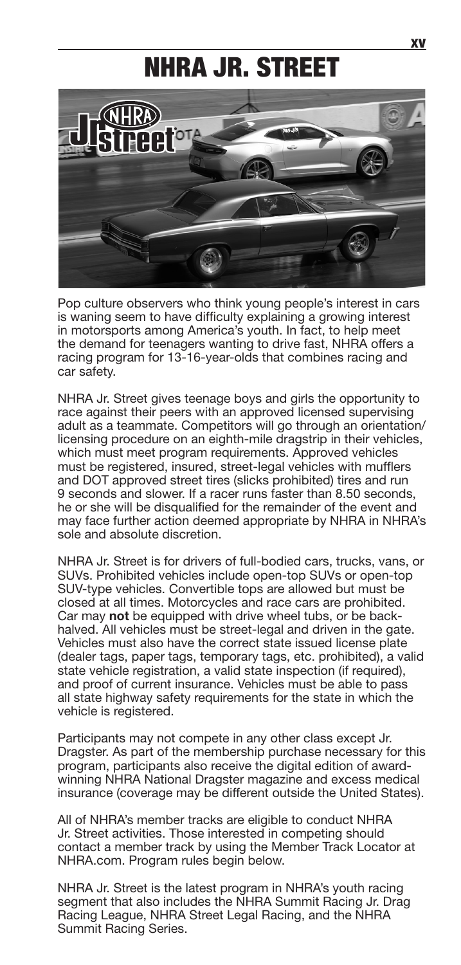## NHRA JR. STREET



Pop culture observers who think young people's interest in cars is waning seem to have difficulty explaining a growing interest in motorsports among America's youth. In fact, to help meet the demand for teenagers wanting to drive fast, NHRA offers a racing program for 13-16-year-olds that combines racing and car safety.

NHRA Jr. Street gives teenage boys and girls the opportunity to race against their peers with an approved licensed supervising adult as a teammate. Competitors will go through an orientation/ licensing procedure on an eighth-mile dragstrip in their vehicles, which must meet program requirements. Approved vehicles must be registered, insured, street-legal vehicles with mufflers and DOT approved street tires (slicks prohibited) tires and run 9 seconds and slower. If a racer runs faster than 8.50 seconds, he or she will be disqualified for the remainder of the event and may face further action deemed appropriate by NHRA in NHRA's sole and absolute discretion.

NHRA Jr. Street is for drivers of full-bodied cars, trucks, vans, or SUVs. Prohibited vehicles include open-top SUVs or open-top SUV-type vehicles. Convertible tops are allowed but must be closed at all times. Motorcycles and race cars are prohibited. Car may **not** be equipped with drive wheel tubs, or be backhalved. All vehicles must be street-legal and driven in the gate. Vehicles must also have the correct state issued license plate (dealer tags, paper tags, temporary tags, etc. prohibited), a valid state vehicle registration, a valid state inspection (if required), and proof of current insurance. Vehicles must be able to pass all state highway safety requirements for the state in which the vehicle is registered.

Participants may not compete in any other class except Jr. Dragster. As part of the membership purchase necessary for this program, participants also receive the digital edition of awardwinning NHRA National Dragster magazine and excess medical insurance (coverage may be different outside the United States).

All of NHRA's member tracks are eligible to conduct NHRA Jr. Street activities. Those interested in competing should contact a member track by using the Member Track Locator at NHRA.com. Program rules begin below.

NHRA Jr. Street is the latest program in NHRA's youth racing segment that also includes the NHRA Summit Racing Jr. Drag Racing League, NHRA Street Legal Racing, and the NHRA Summit Racing Series.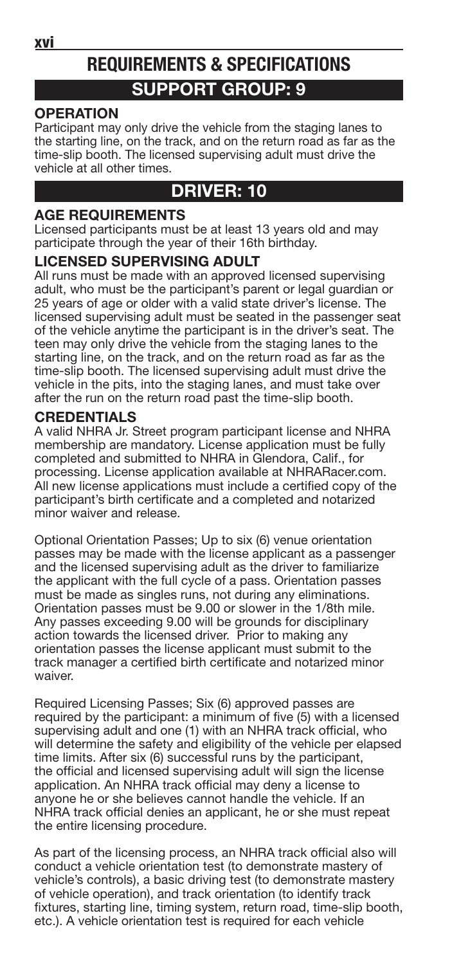xvi

### **REQUIREMENTS & SPECIFICATIONS SUPPORT GROUP: 9**

#### **OPERATION**

Participant may only drive the vehicle from the staging lanes to the starting line, on the track, and on the return road as far as the time-slip booth. The licensed supervising adult must drive the vehicle at all other times.

### **DRIVER: 10**

#### **AGE REQUIREMENTS**

Licensed participants must be at least 13 years old and may participate through the year of their 16th birthday.

#### **LICENSED SUPERVISING ADULT**

All runs must be made with an approved licensed supervising adult, who must be the participant's parent or legal guardian or 25 years of age or older with a valid state driver's license. The licensed supervising adult must be seated in the passenger seat of the vehicle anytime the participant is in the driver's seat. The teen may only drive the vehicle from the staging lanes to the starting line, on the track, and on the return road as far as the time-slip booth. The licensed supervising adult must drive the vehicle in the pits, into the staging lanes, and must take over after the run on the return road past the time-slip booth.

#### **CREDENTIALS**

A valid NHRA Jr. Street program participant license and NHRA membership are mandatory. License application must be fully completed and submitted to NHRA in Glendora, Calif., for processing. License application available at NHRARacer.com. All new license applications must include a certified copy of the participant's birth certificate and a completed and notarized minor waiver and release.

Optional Orientation Passes; Up to six (6) venue orientation passes may be made with the license applicant as a passenger and the licensed supervising adult as the driver to familiarize the applicant with the full cycle of a pass. Orientation passes must be made as singles runs, not during any eliminations. Orientation passes must be 9.00 or slower in the 1/8th mile. Any passes exceeding 9.00 will be grounds for disciplinary action towards the licensed driver. Prior to making any orientation passes the license applicant must submit to the track manager a certified birth certificate and notarized minor waiver.

Required Licensing Passes; Six (6) approved passes are required by the participant: a minimum of five (5) with a licensed supervising adult and one (1) with an NHRA track official, who will determine the safety and eligibility of the vehicle per elapsed time limits. After six (6) successful runs by the participant, the official and licensed supervising adult will sign the license application. An NHRA track official may deny a license to anyone he or she believes cannot handle the vehicle. If an NHRA track official denies an applicant, he or she must repeat the entire licensing procedure.

As part of the licensing process, an NHRA track official also will conduct a vehicle orientation test (to demonstrate mastery of vehicle's controls), a basic driving test (to demonstrate mastery of vehicle operation), and track orientation (to identify track fixtures, starting line, timing system, return road, time-slip booth, etc.). A vehicle orientation test is required for each vehicle